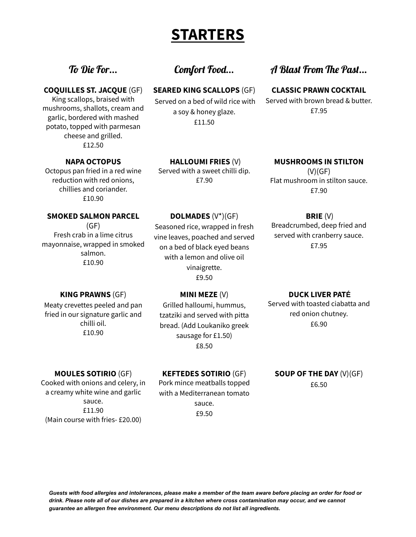## **STARTERS**

#### **COQUILLES ST. JACQUE** (GF)

King scallops, braised with mushrooms, shallots, cream and garlic, bordered with mashed potato, topped with parmesan cheese and grilled. £12.50

#### **NAPA OCTOPUS**

Octopus pan fried in a red wine reduction with red onions, chillies and coriander. £10.90

#### **SMOKED SALMON PARCEL**

 $(GF)$ 

Fresh crab in a lime citrus mayonnaise, wrapped in smoked salmon. £10.90

### **SEARED KING SCALLOPS** (GF)

Served on a bed of wild rice with a soy & honey glaze. £11.50

**HALLOUMI FRIES** (V) Served with a sweet chilli dip. £7.90

**DOLMADES** (V\*)(GF) Seasoned rice, wrapped in fresh vine leaves, poached and served on a bed of black eyed beans with a lemon and olive oil vinaigrette. £9.50

### To Die For... Comfort Food... A Blast From The Past...

#### **CLASSIC PRAWN COCKTAIL**

Served with brown bread & butter. £7.95

### **MUSHROOMS IN STILTON**  $(V)(GF)$ Flat mushroom in stilton sauce.

£7.90

#### **BRIE** (V)

Breadcrumbed, deep fried and served with cranberry sauce. £7.95

#### **KING PRAWNS** (GF)

Meaty crevettes peeled and pan fried in our signature garlic and chilli oil. £10.90

#### **MINI MEZE** (V)

Grilled halloumi, hummus, tzatziki and served with pitta bread. (Add Loukaniko greek sausage for £1.50) £8.50

#### **MOULES SOTIRIO** (GF)

Cooked with onions and celery, in a creamy white wine and garlic sauce. £11.90 (Main course with fries- £20.00)

#### **KEFTEDES SOTIRIO** (GF)

Pork mince meatballs topped with a Mediterranean tomato sauce. £9.50

#### **DUCK LIVER PATÉ**

Served with toasted ciabatta and red onion chutney. £6.90

#### **SOUP OF THE DAY** (V)(GF) £6.50

Guests with food allergies and intolerances, please make a member of the team aware before placing an order for food or drink. Please note all of our dishes are prepared in a kitchen where cross contamination may occur, and we cannot *guarantee an allergen free environment. Our menu descriptions do not list all ingredients.*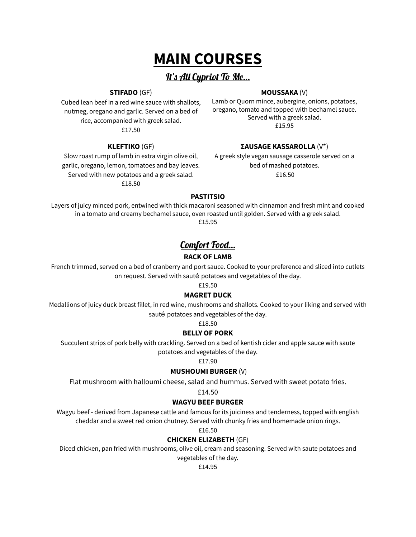# **MAIN COURSES**

### It's All Cypriot To Me...

#### **STIFADO** (GF)

**MOUSSAKA** (V)

Cubed lean beef in a red wine sauce with shallots, nutmeg, oregano and garlic. Served on a bed of rice, accompanied with greek salad. £17.50

Lamb or Quorn mince, aubergine, onions, potatoes, oregano, tomato and topped with bechamel sauce. Served with a greek salad. £15.95

#### **ΣAUSAGE KASSAROLLA** (V\*)

Slow roast rump of lamb in extra virgin olive oil, garlic, oregano, lemon, tomatoes and bay leaves. Served with new potatoes and a greek salad. £18.50

**KLEFTIKO** (GF)

A greek style vegan sausage casserole served on a bed of mashed potatoes. £16.50

#### **PASTITSIO**

Layers of juicy minced pork, entwined with thick macaroni seasoned with cinnamon and fresh mint and cooked in a tomato and creamy bechamel sauce, oven roasted until golden. Served with a greek salad. £15.95

### Comfort Food...

#### **RACK OF LAMB**

French trimmed, served on a bed of cranberry and port sauce. Cooked to your preference and sliced into cutlets on request. Served with sauté potatoes and vegetables of the day.

£19.50

#### **MAGRET DUCK**

Medallions of juicy duck breast fillet, in red wine, mushrooms and shallots. Cooked to your liking and served with sauté potatoes and vegetables of the day.

£18.50

#### **BELLY OF PORK**

Succulent strips of pork belly with crackling. Served on a bed of kentish cider and apple sauce with saute potatoes and vegetables of the day.

£17.90

#### **MUSHOUMI BURGER** (V)

Flat mushroom with halloumi cheese, salad and hummus. Served with sweet potato fries.

£14.50

#### **WAGYU BEEF BURGER**

Wagyu beef - derived from Japanese cattle and famous for its juiciness and tenderness, topped with english cheddar and a sweet red onion chutney. Served with chunky fries and homemade onion rings.

£16.50

#### **CHICKEN ELIZABETH** (GF)

Diced chicken, pan fried with mushrooms, olive oil, cream and seasoning. Served with saute potatoes and

vegetables of the day.

£14.95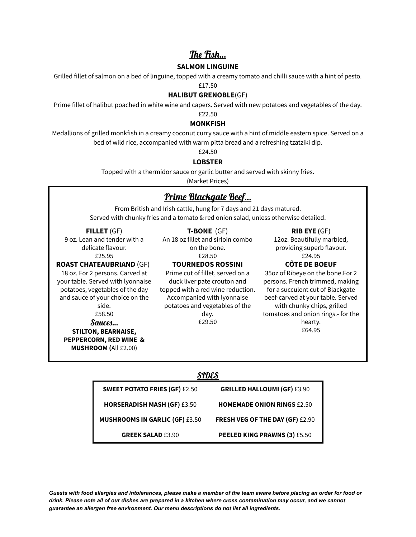### The Fish…

#### **SALMON LINGUINE**

Grilled fillet of salmon on a bed of linguine, topped with a creamy tomato and chilli sauce with a hint of pesto.

#### £17.50

#### **HALIBUT GRENOBLE**(GF)

Prime fillet of halibut poached in white wine and capers. Served with new potatoes and vegetables of the day.

### £22.50

#### **MONKFISH**

Medallions of grilled monkfish in a creamy coconut curry sauce with a hint of middle eastern spice. Served on a bed of wild rice, accompanied with warm pitta bread and a refreshing tzatziki dip.

£24.50

#### **LOBSTER**

Topped with a thermidor sauce or garlic butter and served with skinny fries. (Market Prices)

## Prime Blackgate Beef…

From British and Irish cattle, hung for 7 days and 21 days matured. Served with chunky fries and a tomato & red onion salad, unless otherwise detailed.

#### **FILLET** (GF)

9 oz. Lean and tender with a delicate flavour. £25.95

#### **ROAST CHATEAUBRIAND** (GF)

18 oz. For 2 persons. Carved at your table. Served with lyonnaise potatoes, vegetables of the day and sauce of your choice on the side. £58.50 Sauces… **STILTON, BEARNAISE,**

**PEPPERCORN, RED WINE & MUSHROOM (**All £2.00)

### **T-BONE** (GF)

An 18 oz fillet and sirloin combo on the bone. £28.50

#### **TOURNEDOS ROSSINI**

Prime cut of fillet, served on a duck liver pate crouton and topped with a red wine reduction. Accompanied with lyonnaise potatoes and vegetables of the day. £29.50

#### **RIB EYE (**GF)

12oz. Beautifully marbled, providing superb flavour. £24.95

#### **CÔTE DE BOEUF**

35oz of Ribeye on the bone.For 2 persons. French trimmed, making for a succulent cut of Blackgate beef-carved at your table. Served with chunky chips, grilled tomatoes and onion rings.- for the hearty. £64.95

#### SIDES

| <b>SWEET POTATO FRIES (GF) £2.50</b>  | <b>GRILLED HALLOUMI (GF) £3.90</b>     |
|---------------------------------------|----------------------------------------|
| <b>HORSERADISH MASH (GF) £3.50</b>    | <b>HOMEMADE ONION RINGS £2.50</b>      |
| <b>MUSHROOMS IN GARLIC (GF) £3.50</b> | <b>FRESH VEG OF THE DAY (GF) £2.90</b> |
| <b>GREEK SALAD £3.90</b>              | <b>PEELED KING PRAWNS (3) £5.50</b>    |

Guests with food allergies and intolerances, please make a member of the team aware before placing an order for food or drink. Please note all of our dishes are prepared in a kitchen where cross contamination may occur, and we cannot *guarantee an allergen free environment. Our menu descriptions do not list all ingredients.*